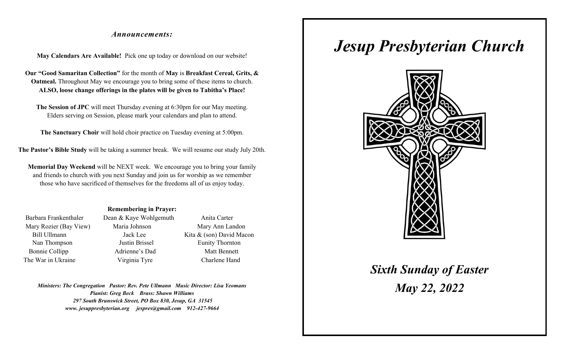#### *Announcements:*

**May Calendars Are Available!** Pick one up today or download on our website!

**Our "Good Samaritan Collection"** for the month of **May** is **Breakfast Cereal, Grits, & Oatmeal.** Throughout May we encourage you to bring some of these items to church. **ALSO, loose change offerings in the plates will be given to Tabitha's Place!**

**The Session of JPC** will meet Thursday evening at 6:30pm for our May meeting. Elders serving on Session, please mark your calendars and plan to attend.

**The Sanctuary Choir** will hold choir practice on Tuesday evening at 5:00pm.

**The Pastor's Bible Study** will be taking a summer break. We will resume our study July 20th.

**Memorial Day Weekend** will be NEXT week. We encourage you to bring your family and friends to church with you next Sunday and join us for worship as we remember those who have sacrificed of themselves for the freedoms all of us enjoy today.

#### **Remembering in Prayer:**

| Barbara Frankenthaler  |
|------------------------|
| Mary Rozier (Bay View) |
| <b>Bill Ullmann</b>    |
| Nan Thompson           |
| <b>Bonnie Collipp</b>  |
| The War in Ukraine     |

Dean & Kaye Wohlgemuth Anita Carter

Maria Johnson Mary Ann Landon Jack Lee Kita & (son) David Macon Nan Thompson Justin Brissel Eunity Thornton Adrienne's Dad Matt Bennett Virginia Tyre Charlene Hand

*Ministers: The Congregation Pastor: Rev. Pete Ullmann Music Director: Lisa Yeomans Pianist: Greg Beck Brass: Shawn Williams 297 South Brunswick Street, PO Box 830, Jesup, GA 31545 www. jesuppresbyterian.org jespres@gmail.com 912-427-9664*

# *Jesup Presbyterian Church*



*Sixth Sunday of Easter May 22, 2022*